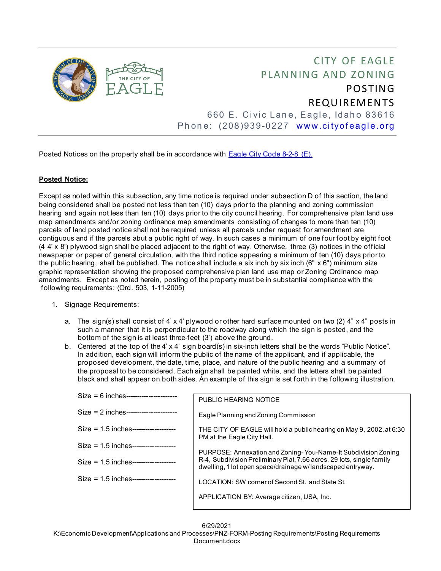

## CITY OF EAGLE PLANNING AND ZONING POSTING REQUIREMENTS 660 E. Civic Lane, Eagle, Idaho 83616

Phone: (208)939-0227 [www.cityofeagle.org](http://www.cityofeagle.org/)

Posted Notices on the property shall be in accordance with [Eagle City Code 8-2-8](https://codelibrary.amlegal.com/codes/eagleid/latest/eagle_id/0-0-0-4335) (E).

## **Posted Notice:**

Except as noted within this subsection, any time notice is required under subsection D of this section, the land being considered shall be posted not less than ten (10) days prior to the planning and zoning commission hearing and again not less than ten (10) days prior to the city council hearing. For comprehensive plan land use map amendments and/or zoning ordinance map amendments consisting of changes to more than ten (10) parcels of land posted notice shall not be required unless all parcels under request for amendment are contiguous and if the parcels abut a public right of way. In such cases a minimum of one four foot by eight foot (4 4' x 8') plywood sign shall be placed adjacent to the right of way. Otherwise, three (3) notices in the official newspaper or paper of general circulation, with the third notice appearing a minimum of ten (10) days prior to the public hearing, shall be published. The notice shall include a six inch by six inch (6"  $\times$  6") minimum size graphic representation showing the proposed comprehensive plan land use map or Zoning Ordinance map amendments. Except as noted herein, posting of the property must be in substantial compliance with the following requirements: (Ord. 503, 1-11-2005)

- 1. Signage Requirements:
	- a. The sign(s) shall consist of 4' x 4' plywood or other hard surface mounted on two (2) 4" x 4" posts in such a manner that it is perpendicular to the roadway along which the sign is posted, and the bottom of the sign is at least three-feet (3') above the ground.
	- b. Centered at the top of the 4' x 4' sign board(s) in six-inch letters shall be the words "Public Notice". In addition, each sign will inform the public of the name of the applicant, and if applicable, the proposed development, the date, time, place, and nature of the public hearing and a summary of the proposal to be considered. Each sign shall be painted white, and the letters shall be painted black and shall appear on both sides. An example of this sign is set forth in the following illustration.

| $Size = 6$ inches----------------------- | PUBLIC HEARING NOTICE                                                                                                                                                                                |
|------------------------------------------|------------------------------------------------------------------------------------------------------------------------------------------------------------------------------------------------------|
| $Size = 2 inches$ ---------------------- | Eagle Planning and Zoning Commission                                                                                                                                                                 |
| $Size = 1.5$ inches------------------    | THE CITY OF EAGLE will hold a public hearing on May 9, 2002, at 6:30<br>PM at the Eagle City Hall.                                                                                                   |
| $Size = 1.5$ inches------------------    |                                                                                                                                                                                                      |
| Size = $1.5$ inches-------------------   | PURPOSE: Annexation and Zoning-You-Name-It Subdivision Zoning<br>R-4, Subdivision Preliminary Plat, 7.66 acres, 29 lots, single family<br>dwelling, 1 lot open space/drainage w/landscaped entryway. |
| $Size = 1.5$ inches------------------    | LOCATION: SW corner of Second St. and State St.                                                                                                                                                      |
|                                          | APPLICATION BY: Average citizen, USA, Inc.                                                                                                                                                           |
|                                          |                                                                                                                                                                                                      |

6/29/2021

K:\Economic Development\Applications and Processes\PNZ-FORM-Posting Requirements\Posting Requirements Document.docx